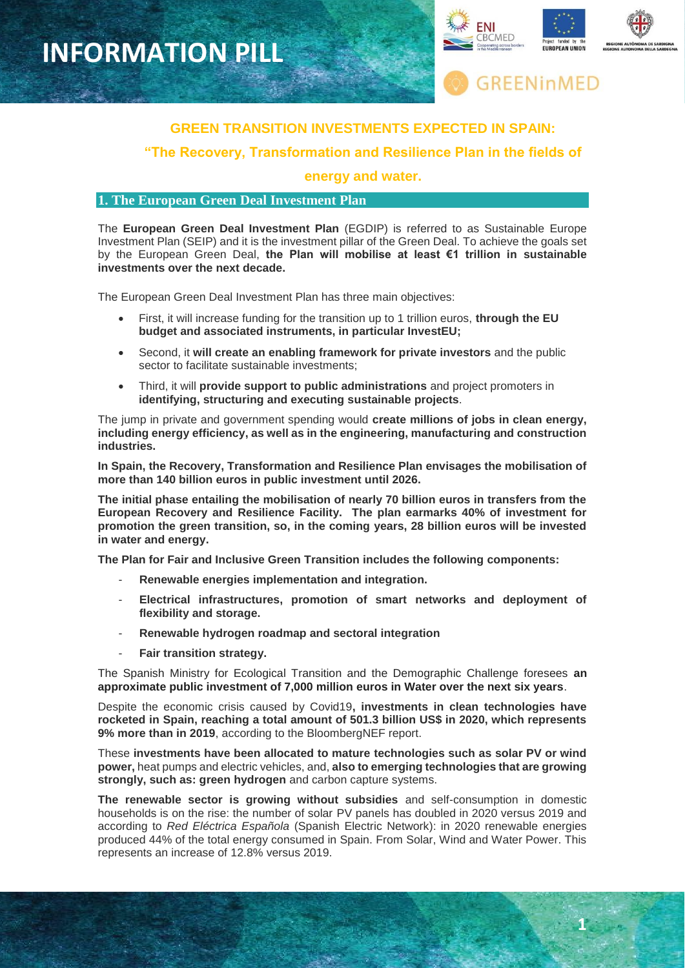

**1**



# **GREEN TRANSITION INVESTMENTS EXPECTED IN SPAIN:**

**"The Recovery, Transformation and Resilience Plan in the fields of** 

### **energy and water.**

## **1. The European Green Deal Investment Plan**

The **European Green Deal Investment Plan** (EGDIP) is referred to as Sustainable Europe Investment Plan (SEIP) and it is the investment pillar of the Green Deal. To achieve the goals set by the European Green Deal, **the Plan will mobilise at least €1 trillion in sustainable investments over the next decade.**

The European Green Deal Investment Plan has three main objectives:

- First, it will increase funding for the transition up to 1 trillion euros, **through the EU budget and associated instruments, in particular InvestEU;**
- Second, it **will create an enabling framework for private investors** and the public sector to facilitate sustainable investments;
- Third, it will **provide support to public administrations** and project promoters in **identifying, structuring and executing sustainable projects**.

The jump in private and government spending would **create millions of jobs in clean energy, including energy efficiency, as well as in the engineering, manufacturing and construction industries.**

**In Spain, the Recovery, Transformation and Resilience Plan envisages the mobilisation of more than 140 billion euros in public investment until 2026.** 

**The initial phase entailing the mobilisation of nearly 70 billion euros in transfers from the European Recovery and Resilience Facility. The plan earmarks 40% of investment for promotion the green transition, so, in the coming years, 28 billion euros will be invested in water and energy.**

**The Plan for Fair and Inclusive Green Transition includes the following components:**

- **Renewable energies implementation and integration.**
- **Electrical infrastructures, promotion of smart networks and deployment of flexibility and storage.**
- **Renewable hydrogen roadmap and sectoral integration**
- **Fair transition strategy.**

The Spanish Ministry for Ecological Transition and the Demographic Challenge foresees **an approximate public investment of 7,000 million euros in Water over the next six years**.

Despite the economic crisis caused by Covid19**, investments in clean technologies have rocketed in Spain, reaching a total amount of 501.3 billion US\$ in 2020, which represents 9% more than in 2019**, according to the BloombergNEF report.

These **investments have been allocated to mature technologies such as solar PV or wind power,** heat pumps and electric vehicles, and, **also to emerging technologies that are growing strongly, such as: green hydrogen** and carbon capture systems.

**The renewable sector is growing without subsidies** and self-consumption in domestic households is on the rise: the number of solar PV panels has doubled in 2020 versus 2019 and according to *Red Eléctrica Española* (Spanish Electric Network): in 2020 renewable energies produced 44% of the total energy consumed in Spain. From Solar, Wind and Water Power. This represents an increase of 12.8% versus 2019.